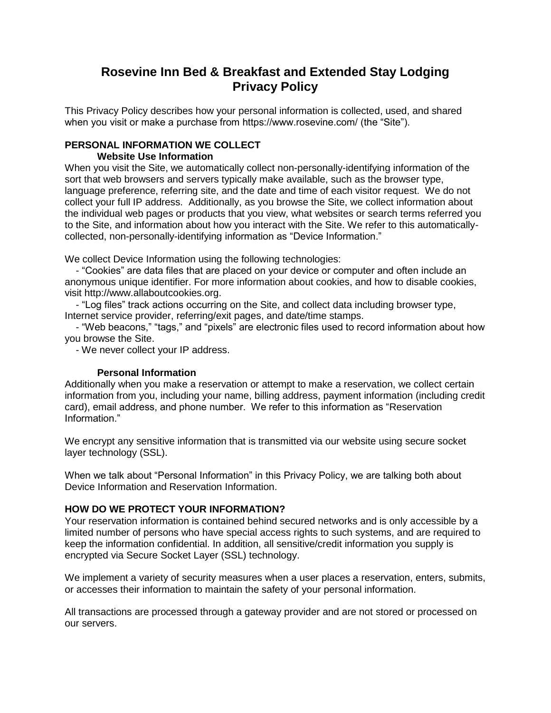## **Rosevine Inn Bed & Breakfast and Extended Stay Lodging Privacy Policy**

This Privacy Policy describes how your personal information is collected, used, and shared when you visit or make a purchase from https://www.rosevine.com/ (the "Site").

# **PERSONAL INFORMATION WE COLLECT**

#### **Website Use Information**

When you visit the Site, we automatically collect non-personally-identifying information of the sort that web browsers and servers typically make available, such as the browser type, language preference, referring site, and the date and time of each visitor request. We do not collect your full IP address. Additionally, as you browse the Site, we collect information about the individual web pages or products that you view, what websites or search terms referred you to the Site, and information about how you interact with the Site. We refer to this automaticallycollected, non-personally-identifying information as "Device Information."

We collect Device Information using the following technologies:

 - "Cookies" are data files that are placed on your device or computer and often include an anonymous unique identifier. For more information about cookies, and how to disable cookies, visit http://www.allaboutcookies.org.

 - "Log files" track actions occurring on the Site, and collect data including browser type, Internet service provider, referring/exit pages, and date/time stamps.

 - "Web beacons," "tags," and "pixels" are electronic files used to record information about how you browse the Site.

- We never collect your IP address.

#### **Personal Information**

Additionally when you make a reservation or attempt to make a reservation, we collect certain information from you, including your name, billing address, payment information (including credit card), email address, and phone number. We refer to this information as "Reservation Information."

We encrypt any sensitive information that is transmitted via our website using secure socket layer technology (SSL).

When we talk about "Personal Information" in this Privacy Policy, we are talking both about Device Information and Reservation Information.

## **HOW DO WE PROTECT YOUR INFORMATION?**

Your reservation information is contained behind secured networks and is only accessible by a limited number of persons who have special access rights to such systems, and are required to keep the information confidential. In addition, all sensitive/credit information you supply is encrypted via Secure Socket Layer (SSL) technology.

We implement a variety of security measures when a user places a reservation, enters, submits, or accesses their information to maintain the safety of your personal information.

All transactions are processed through a gateway provider and are not stored or processed on our servers.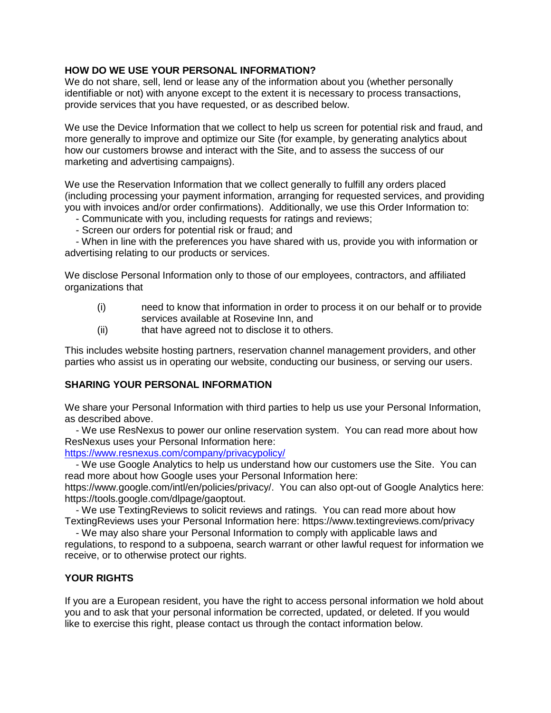#### **HOW DO WE USE YOUR PERSONAL INFORMATION?**

We do not share, sell, lend or lease any of the information about you (whether personally identifiable or not) with anyone except to the extent it is necessary to process transactions, provide services that you have requested, or as described below.

We use the Device Information that we collect to help us screen for potential risk and fraud, and more generally to improve and optimize our Site (for example, by generating analytics about how our customers browse and interact with the Site, and to assess the success of our marketing and advertising campaigns).

We use the Reservation Information that we collect generally to fulfill any orders placed (including processing your payment information, arranging for requested services, and providing you with invoices and/or order confirmations). Additionally, we use this Order Information to:

- Communicate with you, including requests for ratings and reviews;
- Screen our orders for potential risk or fraud; and

 - When in line with the preferences you have shared with us, provide you with information or advertising relating to our products or services.

We disclose Personal Information only to those of our employees, contractors, and affiliated organizations that

- (i) need to know that information in order to process it on our behalf or to provide services available at Rosevine Inn, and
- (ii) that have agreed not to disclose it to others.

This includes website hosting partners, reservation channel management providers, and other parties who assist us in operating our website, conducting our business, or serving our users.

#### **SHARING YOUR PERSONAL INFORMATION**

We share your Personal Information with third parties to help us use your Personal Information, as described above.

 - We use ResNexus to power our online reservation system. You can read more about how ResNexus uses your Personal Information here:

<https://www.resnexus.com/company/privacypolicy/>

 - We use Google Analytics to help us understand how our customers use the Site. You can read more about how Google uses your Personal Information here:

https://www.google.com/intl/en/policies/privacy/. You can also opt-out of Google Analytics here: https://tools.google.com/dlpage/gaoptout.

 - We use TextingReviews to solicit reviews and ratings. You can read more about how TextingReviews uses your Personal Information here: https://www.textingreviews.com/privacy

 - We may also share your Personal Information to comply with applicable laws and regulations, to respond to a subpoena, search warrant or other lawful request for information we receive, or to otherwise protect our rights.

#### **YOUR RIGHTS**

If you are a European resident, you have the right to access personal information we hold about you and to ask that your personal information be corrected, updated, or deleted. If you would like to exercise this right, please contact us through the contact information below.